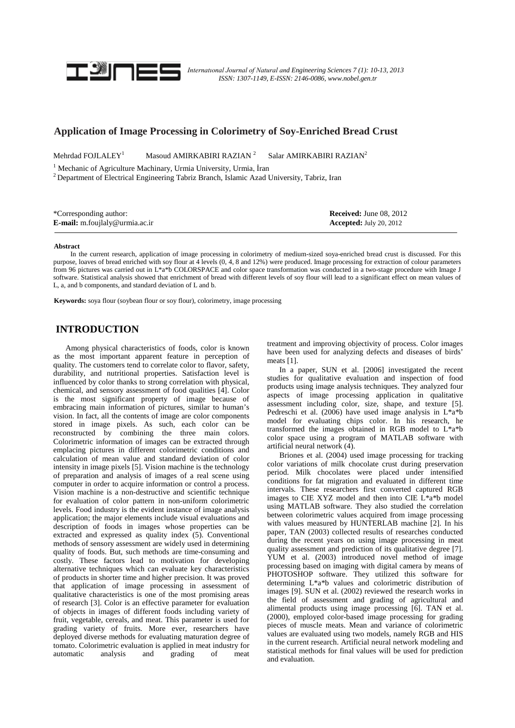

*Internatıonal Journal of Natural and Engineering Sciences 7 (1): 10-13, 2013*  *ISSN: 1307-1149, E-ISSN: 2146-0086, www.nobel.gen.tr* 

## **Application of Image Processing in Colorimetry of Soy-Enriched Bread Crust**

Mehrdad FOJLALEY<sup>1</sup> Masoud AMIRKABIRI RAZIAN<sup>2</sup> Salar AMIRKABIRI RAZIAN<sup>2</sup>

<sup>1</sup> Mechanic of Agriculture Machinary, Urmia University, Urmia, İran  ${}^{2}$  Department of Electrical Engineering Tabriz Branch, Islamic Azad University, Tabriz, Iran

| *Corresponding author:                | <b>Received:</b> June 08, 2012 |
|---------------------------------------|--------------------------------|
| <b>E-mail:</b> m.foujlaly@urmia.ac.ir | <b>Accepted:</b> July 20, 2012 |

#### **Abstract**

In the current research, application of image processing in colorimetry of medium-sized soya-enriched bread crust is discussed. For this purpose, loaves of bread enriched with soy flour at 4 levels (0, 4, 8 and 12%) were produced. Image processing for extraction of colour parameters from 96 pictures was carried out in L\*a\*b COLORSPACE and color space transformation was conducted in a two-stage procedure with Image J software. Statistical analysis showed that enrichment of bread with different levels of soy flour will lead to a significant effect on mean values of L, a, and b components, and standard deviation of L and b.

**Keywords:** soya flour (soybean flour or soy flour), colorimetry, image processing

## **INTRODUCTION**

Among physical characteristics of foods, color is known as the most important apparent feature in perception of quality. The customers tend to correlate color to flavor, safety, durability, and nutritional properties. Satisfaction level is influenced by color thanks to strong correlation with physical, chemical, and sensory assessment of food qualities [4]. Color is the most significant property of image because of embracing main information of pictures, similar to human's vision. In fact, all the contents of image are color components stored in image pixels. As such, each color can be reconstructed by combining the three main colors. Colorimetric information of images can be extracted through emplacing pictures in different colorimetric conditions and calculation of mean value and standard deviation of color intensity in image pixels [5]. Vision machine is the technology of preparation and analysis of images of a real scene using computer in order to acquire information or control a process. Vision machine is a non-destructive and scientific technique for evaluation of color pattern in non-uniform colorimetric levels. Food industry is the evident instance of image analysis application; the major elements include visual evaluations and description of foods in images whose properties can be extracted and expressed as quality index (5). Conventional methods of sensory assessment are widely used in determining quality of foods. But, such methods are time-consuming and costly. These factors lead to motivation for developing alternative techniques which can evaluate key characteristics of products in shorter time and higher precision. It was proved that application of image processing in assessment of qualitative characteristics is one of the most promising areas of research [3]. Color is an effective parameter for evaluation of objects in images of different foods including variety of fruit, vegetable, cereals, and meat. This parameter is used for grading variety of fruits. More ever, researchers have deployed diverse methods for evaluating maturation degree of tomato. Colorimetric evaluation is applied in meat industry for automatic analysis and grading of meat

treatment and improving objectivity of process. Color images have been used for analyzing defects and diseases of birds' meats [1].

In a paper, SUN et al. [2006] investigated the recent studies for qualitative evaluation and inspection of food products using image analysis techniques. They analyzed four aspects of image processing application in qualitative assessment including color, size, shape, and texture [5]. Pedreschi et al. (2006) have used image analysis in L\*a\*b model for evaluating chips color. In his research, he transformed the images obtained in RGB model to L\*a\*b color space using a program of MATLAB software with artificial neural network (4).

Briones et al. (2004) used image processing for tracking color variations of milk chocolate crust during preservation period. Milk chocolates were placed under intensified conditions for fat migration and evaluated in different time intervals. These researchers first converted captured RGB images to CIE XYZ model and then into CIE  $\hat{L}^*$ a\*b model using MATLAB software. They also studied the correlation between colorimetric values acquired from image processing with values measured by HUNTERLAB machine [2]. In his paper, TAN (2003) collected results of researches conducted during the recent years on using image processing in meat quality assessment and prediction of its qualitative degree [7]. YUM et al. (2003) introduced novel method of image processing based on imaging with digital camera by means of PHOTOSHOP software. They utilized this software for determining L\*a\*b values and colorimetric distribution of images [9]. SUN et al. (2002) reviewed the research works in the field of assessment and grading of agricultural and alimental products using image processing [6]. TAN et al. (2000), employed color-based image processing for grading pieces of muscle meats. Mean and variance of colorimetric values are evaluated using two models, namely RGB and HIS in the current research. Artificial neural network modeling and statistical methods for final values will be used for prediction and evaluation.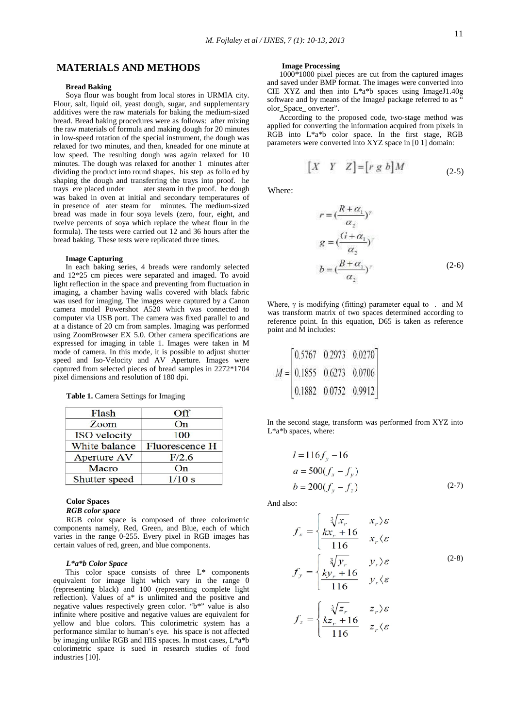## **MATERIALS AND METHODS**

## **Bread Baking**

Soya flour was bought from local stores in URMIA city. Flour, salt, liquid oil, yeast dough, sugar, and supplementary additives were the raw materials for baking the medium-sized bread. Bread baking procedures were as follows: after mixing the raw materials of formula and making dough for 20 minutes in low-speed rotation of the special instrument, the dough was relaxed for two minutes, and then, kneaded for one minute at low speed. The resulting dough was again relaxed for 10 minutes. The dough was relaxed for another 1 minutes after dividing the product into round shapes. his step as follo ed by shaping the dough and transferring the trays into proof. he trays ere placed under ater steam in the proof. he dough ater steam in the proof. he dough was baked in oven at initial and secondary temperatures of in presence of ater steam for minutes. The medium-sized bread was made in four soya levels (zero, four, eight, and twelve percents of soya which replace the wheat flour in the formula). The tests were carried out 12 and 36 hours after the bread baking. These tests were replicated three times.

### **Image Capturing**

In each baking series, 4 breads were randomly selected and 12\*25 cm pieces were separated and imaged. To avoid light reflection in the space and preventing from fluctuation in imaging, a chamber having walls covered with black fabric was used for imaging. The images were captured by a Canon camera model Powershot A520 which was connected to computer via USB port. The camera was fixed parallel to and at a distance of 20 cm from samples. Imaging was performed using ZoomBrowser EX 5.0. Other camera specifications are expressed for imaging in table 1. Images were taken in M mode of camera. In this mode, it is possible to adjust shutter speed and Iso-Velocity and AV Aperture. Images were captured from selected pieces of bread samples in 2272\*1704 pixel dimensions and resolution of 180 dpi.

**Table 1.** Camera Settings for Imaging

| Flash               | <b>Off</b>     |
|---------------------|----------------|
| Zoom                | On             |
| <b>ISO</b> velocity | 100            |
| White balance       | Fluorescence H |
| Aperture AV         | F/2.6          |
| Macro               | On             |
| Shutter speed       | 1/10 s         |

## **Color Spaces**

*RGB color space*

RGB color space is composed of three colorimetric components namely, Red, Green, and Blue, each of which varies in the range 0-255. Every pixel in RGB images has certain values of red, green, and blue components.

### *L\*a\*b Color Space*

This color space consists of three L\* components equivalent for image light which vary in the range 0 (representing black) and 100 (representing complete light reflection). Values of a\* is unlimited and the positive and negative values respectively green color. "b\*" value is also infinite where positive and negative values are equivalent for yellow and blue colors. This colorimetric system has a performance similar to human's eye. his space is not affected by imaging unlike RGB and HIS spaces. In most cases, L\*a\*b colorimetric space is sued in research studies of food industries [10].

### **Image Processing**

1000\*1000 pixel pieces are cut from the captured images and saved under BMP format. The images were converted into CIE XYZ and then into  $L^*a^*b$  spaces using ImageJ1.40g software and by means of the ImageJ package referred to as " olor\_Space\_ onverter".

According to the proposed code, two-stage method was applied for converting the information acquired from pixels in RGB into L\*a\*b color space. In the first stage, RGB parameters were converted into XYZ space in [0 1] domain:

$$
\begin{bmatrix} X & Y & Z \end{bmatrix} = \begin{bmatrix} r \ g \ b \end{bmatrix} M \tag{2-5}
$$

Where:

$$
r = \left(\frac{R + \alpha_1}{\alpha_2}\right)^{\gamma}
$$
  
\n
$$
g = \left(\frac{G + \alpha_1}{\alpha_2}\right)^{\gamma}
$$
  
\n
$$
b = \left(\frac{B + \alpha_1}{\alpha_2}\right)^{\gamma}
$$
 (2-6)

Where,  $\gamma$  is modifying (fitting) parameter equal to . and M was transform matrix of two spaces determined according to reference point. In this equation, D65 is taken as reference point and M includes:

|  | $0.5767$ 0.2973 0.0270           |
|--|----------------------------------|
|  | $M =  0.1855 \t0.6273 \t0.0706 $ |
|  | 0.1882 0.0752 0.9912             |

In the second stage, transform was performed from XYZ into L\*a\*b spaces, where:

$$
l = 116f_y - 16
$$
  
\n
$$
a = 500(f_x - f_y)
$$
  
\n
$$
b = 200(f_y - f_z)
$$
 (2-7)

And also:

$$
f_x = \begin{cases} \sqrt[3]{x_r} & x_r \geq \varepsilon \\ kx_r + 16 & x_r \geq \varepsilon \end{cases}
$$
  

$$
f_y = \begin{cases} \sqrt[3]{y_r} & y_r \geq \varepsilon \\ \frac{ky_r + 16}{116} & y_r \geq \varepsilon \end{cases}
$$
  

$$
f = \begin{cases} \sqrt[3]{z_r} & z_r \geq \varepsilon \\ kz_r + 16 & z_r \geq \varepsilon \end{cases}
$$
 (2-8)

$$
z = \begin{cases} \frac{kz_r + 16}{116} & z_r \end{cases}
$$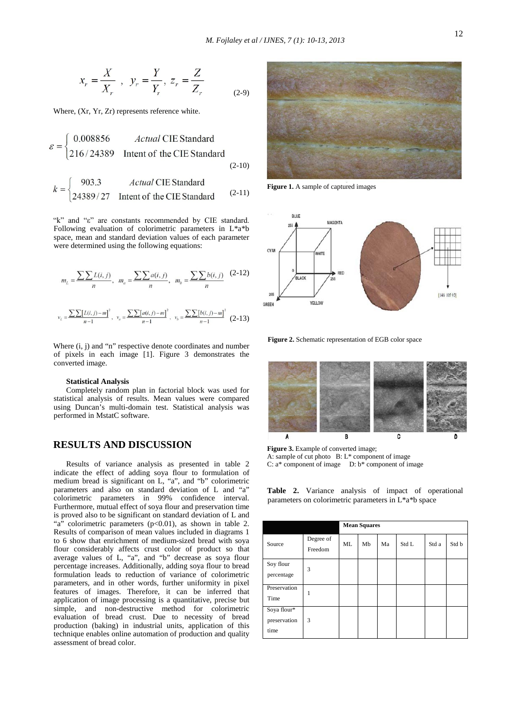$$
x_r = \frac{X}{X_r}
$$
,  $y_r = \frac{Y}{Y_r}$ ,  $z_r = \frac{Z}{Z_r}$  (2-9)

Where, (Xr, Yr, Zr) represents reference white.

$$
\varepsilon = \begin{cases}\n0.008856 & \text{Actual CIE Standard} \\
216/24389 & \text{Internet of the CIE Standard}\n\end{cases}
$$
\n(2-10)

$$
k = \begin{cases} 903.3 & \text{Actual CIE Standard} \\ 24389/27 & \text{Internet of the CIE Standard} \end{cases} (2-11)
$$

"k" and "ε" are constants recommended by CIE standard. Following evaluation of colorimetric parameters in L\*a\*b space, mean and standard deviation values of each parameter were determined using the following equations:

$$
m_{L} = \frac{\sum \sum L(i, j)}{n}, \quad m_{a} = \frac{\sum \sum a(i, j)}{n}, \quad m_{b} = \frac{\sum \sum b(i, j)}{n}
$$
(2-12)  

$$
v_{L} = \frac{\sum \sum [L(i, j) - m]^{2}}{n - 1}, \quad v_{a} = \frac{\sum \sum [a(i, j) - m]^{2}}{n - 1}, \quad v_{b} = \frac{\sum \sum [b(i, j) - m]^{2}}{n - 1}
$$
(2-13)

Where  $(i, j)$  and "n" respective denote coordinates and number of pixels in each image [1]. Figure 3 demonstrates the converted image.

### **Statistical Analysis**

Completely random plan in factorial block was used for statistical analysis of results. Mean values were compared using Duncan's multi-domain test. Statistical analysis was performed in MstatC software.

# **RESULTS AND DISCUSSION**

Results of variance analysis as presented in table 2 indicate the effect of adding soya flour to formulation of medium bread is significant on L, "a", and "b" colorimetric parameters and also on standard deviation of L and "a" colorimetric parameters in 99% confidence interval. Furthermore, mutual effect of soya flour and preservation time is proved also to be significant on standard deviation of L and "a" colorimetric parameters  $(p<0.01)$ , as shown in table 2. Results of comparison of mean values included in diagrams 1 to 6 show that enrichment of medium-sized bread with soya flour considerably affects crust color of product so that average values of L, "a", and "b" decrease as soya flour percentage increases. Additionally, adding soya flour to bread formulation leads to reduction of variance of colorimetric parameters, and in other words, further uniformity in pixel features of images. Therefore, it can be inferred that application of image processing is a quantitative, precise but simple, and non-destructive method for colorimetric evaluation of bread crust. Due to necessity of bread production (baking) in industrial units, application of this technique enables online automation of production and quality assessment of bread color.



**Figure 1.** A sample of captured images



**Figure 2.** Schematic representation of EGB color space



**Figure 3.** Example of converted image; A: sample of cut photo B: L\* component of image C:  $a^*$  component of image D:  $b^*$  component of image

**Table 2.** Variance analysis of impact of operational parameters on colorimetric parameters in L\*a\*b space

|                                     |                      | <b>Mean Squares</b> |    |    |       |       |       |
|-------------------------------------|----------------------|---------------------|----|----|-------|-------|-------|
| Source                              | Degree of<br>Freedom | ML                  | Mb | Ma | Std L | Std a | Std b |
| Soy flour<br>percentage             | 3                    |                     |    |    |       |       |       |
| Preservation<br>Time                | 1                    |                     |    |    |       |       |       |
| Soya flour*<br>preservation<br>time | 3                    |                     |    |    |       |       |       |